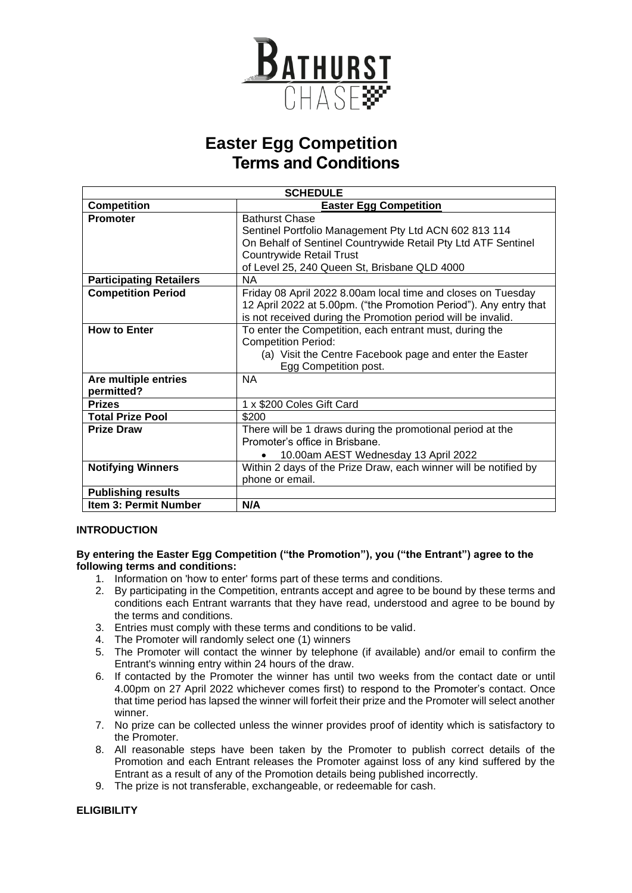

## **Easter Egg Competition Terms and Conditions**

| <b>SCHEDULE</b>                    |                                                                                                                                                                                                   |
|------------------------------------|---------------------------------------------------------------------------------------------------------------------------------------------------------------------------------------------------|
| <b>Competition</b>                 | <b>Easter Egg Competition</b>                                                                                                                                                                     |
| <b>Promoter</b>                    | <b>Bathurst Chase</b><br>Sentinel Portfolio Management Pty Ltd ACN 602 813 114<br>On Behalf of Sentinel Countrywide Retail Pty Ltd ATF Sentinel<br><b>Countrywide Retail Trust</b>                |
|                                    | of Level 25, 240 Queen St, Brisbane QLD 4000                                                                                                                                                      |
| <b>Participating Retailers</b>     | NA.                                                                                                                                                                                               |
| <b>Competition Period</b>          | Friday 08 April 2022 8.00am local time and closes on Tuesday<br>12 April 2022 at 5.00pm. ("the Promotion Period"). Any entry that<br>is not received during the Promotion period will be invalid. |
| <b>How to Enter</b>                | To enter the Competition, each entrant must, during the<br><b>Competition Period:</b><br>(a) Visit the Centre Facebook page and enter the Easter<br>Egg Competition post.                         |
| Are multiple entries<br>permitted? | <b>NA</b>                                                                                                                                                                                         |
| <b>Prizes</b>                      | 1 x \$200 Coles Gift Card                                                                                                                                                                         |
| <b>Total Prize Pool</b>            | \$200                                                                                                                                                                                             |
| <b>Prize Draw</b>                  | There will be 1 draws during the promotional period at the<br>Promoter's office in Brisbane.<br>10.00am AEST Wednesday 13 April 2022                                                              |
| <b>Notifying Winners</b>           | Within 2 days of the Prize Draw, each winner will be notified by<br>phone or email.                                                                                                               |
| <b>Publishing results</b>          |                                                                                                                                                                                                   |
| <b>Item 3: Permit Number</b>       | N/A                                                                                                                                                                                               |

### **INTRODUCTION**

#### **By entering the Easter Egg Competition ("the Promotion"), you ("the Entrant") agree to the following terms and conditions:**

- 1. Information on 'how to enter' forms part of these terms and conditions.
- 2. By participating in the Competition, entrants accept and agree to be bound by these terms and conditions each Entrant warrants that they have read, understood and agree to be bound by the terms and conditions.
- 3. Entries must comply with these terms and conditions to be valid.
- 4. The Promoter will randomly select one (1) winners
- 5. The Promoter will contact the winner by telephone (if available) and/or email to confirm the Entrant's winning entry within 24 hours of the draw.
- 6. If contacted by the Promoter the winner has until two weeks from the contact date or until 4.00pm on 27 April 2022 whichever comes first) to respond to the Promoter's contact. Once that time period has lapsed the winner will forfeit their prize and the Promoter will select another winner.
- 7. No prize can be collected unless the winner provides proof of identity which is satisfactory to the Promoter.
- 8. All reasonable steps have been taken by the Promoter to publish correct details of the Promotion and each Entrant releases the Promoter against loss of any kind suffered by the Entrant as a result of any of the Promotion details being published incorrectly.
- 9. The prize is not transferable, exchangeable, or redeemable for cash.

### **ELIGIBILITY**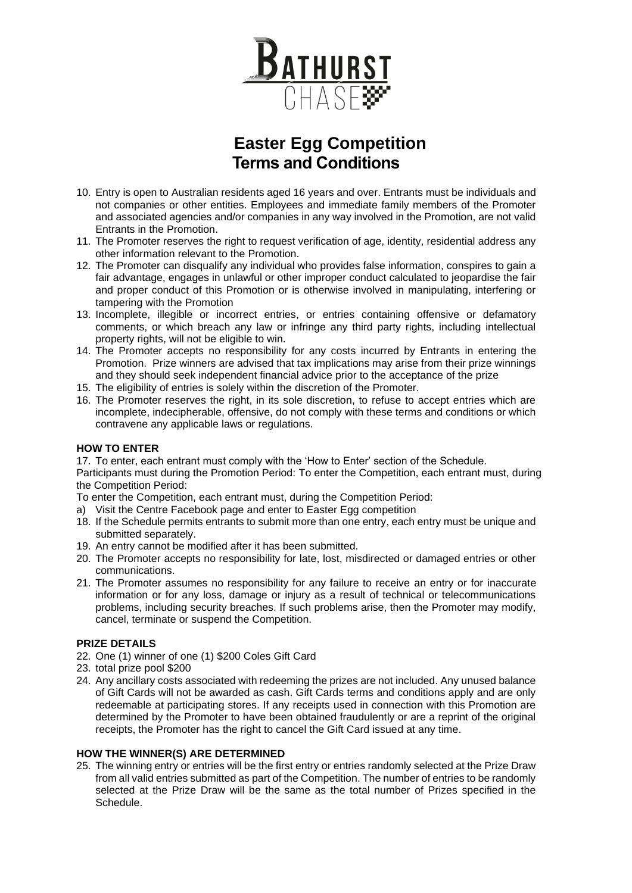

# **Easter Egg Competition Terms and Conditions**

- 10. Entry is open to Australian residents aged 16 years and over. Entrants must be individuals and not companies or other entities. Employees and immediate family members of the Promoter and associated agencies and/or companies in any way involved in the Promotion, are not valid Entrants in the Promotion.
- 11. The Promoter reserves the right to request verification of age, identity, residential address any other information relevant to the Promotion.
- 12. The Promoter can disqualify any individual who provides false information, conspires to gain a fair advantage, engages in unlawful or other improper conduct calculated to jeopardise the fair and proper conduct of this Promotion or is otherwise involved in manipulating, interfering or tampering with the Promotion
- 13. Incomplete, illegible or incorrect entries, or entries containing offensive or defamatory comments, or which breach any law or infringe any third party rights, including intellectual property rights, will not be eligible to win.
- 14. The Promoter accepts no responsibility for any costs incurred by Entrants in entering the Promotion. Prize winners are advised that tax implications may arise from their prize winnings and they should seek independent financial advice prior to the acceptance of the prize
- 15. The eligibility of entries is solely within the discretion of the Promoter.
- 16. The Promoter reserves the right, in its sole discretion, to refuse to accept entries which are incomplete, indecipherable, offensive, do not comply with these terms and conditions or which contravene any applicable laws or regulations.

### **HOW TO ENTER**

17. To enter, each entrant must comply with the 'How to Enter' section of the Schedule.

Participants must during the Promotion Period: To enter the Competition, each entrant must, during the Competition Period:

To enter the Competition, each entrant must, during the Competition Period:

- a) Visit the Centre Facebook page and enter to Easter Egg competition
- 18. If the Schedule permits entrants to submit more than one entry, each entry must be unique and submitted separately.
- 19. An entry cannot be modified after it has been submitted.
- 20. The Promoter accepts no responsibility for late, lost, misdirected or damaged entries or other communications.
- 21. The Promoter assumes no responsibility for any failure to receive an entry or for inaccurate information or for any loss, damage or injury as a result of technical or telecommunications problems, including security breaches. If such problems arise, then the Promoter may modify, cancel, terminate or suspend the Competition.

### **PRIZE DETAILS**

- 22. One (1) winner of one (1) \$200 Coles Gift Card
- 23. total prize pool \$200
- 24. Any ancillary costs associated with redeeming the prizes are not included. Any unused balance of Gift Cards will not be awarded as cash. Gift Cards terms and conditions apply and are only redeemable at participating stores. If any receipts used in connection with this Promotion are determined by the Promoter to have been obtained fraudulently or are a reprint of the original receipts, the Promoter has the right to cancel the Gift Card issued at any time.

### **HOW THE WINNER(S) ARE DETERMINED**

25. The winning entry or entries will be the first entry or entries randomly selected at the Prize Draw from all valid entries submitted as part of the Competition. The number of entries to be randomly selected at the Prize Draw will be the same as the total number of Prizes specified in the Schedule.